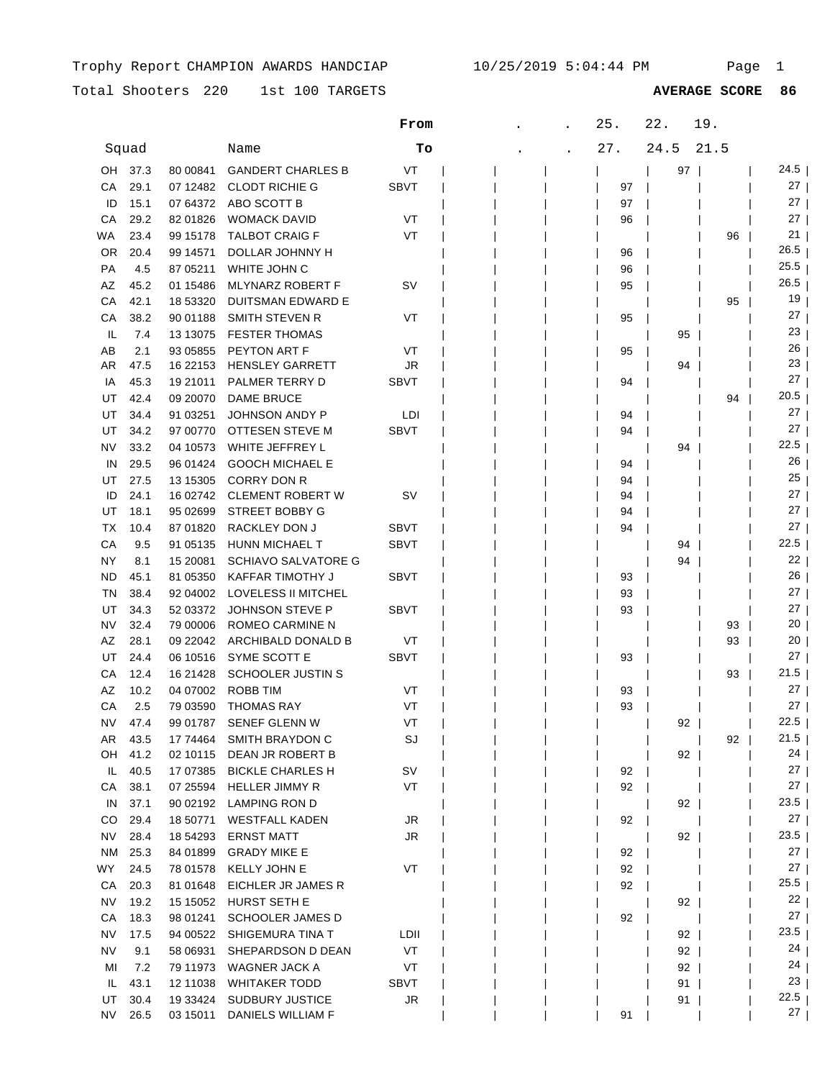Total Shooters 220 1st 100 TARGETS

1st 100 TARGETS **AVERAGE SCORE 86**

|           |       |            |                            | From        |  | 25. | 22.  | 19.  |                 |
|-----------|-------|------------|----------------------------|-------------|--|-----|------|------|-----------------|
|           | Squad |            | Name                       | Tо          |  | 27. | 24.5 | 21.5 |                 |
| OH        | 37.3  | 80 00841   | <b>GANDERT CHARLES B</b>   | VT          |  |     | 97   |      | 24.5            |
| СA        | 29.1  | 07 12482   | <b>CLODT RICHIE G</b>      | <b>SBVT</b> |  | 97  |      |      | 27 <sub>1</sub> |
| ID        | 15.1  | 07 64372   | ABO SCOTT B                |             |  | 97  |      |      | 27              |
| CA        | 29.2  | 82 01826   | <b>WOMACK DAVID</b>        | VT          |  | 96  |      |      | 27              |
| WA        | 23.4  | 99 15178   | <b>TALBOT CRAIG F</b>      | VT          |  |     |      | 96   | 21 <sub>1</sub> |
| 0R        | 20.4  | 99 14571   | DOLLAR JOHNNY H            |             |  | 96  |      |      | 26.5            |
| PA        | 4.5   | 87 05211   | WHITE JOHN C               |             |  | 96  |      |      | 25.5            |
| AZ        | 45.2  | 01 15486   | <b>MLYNARZ ROBERT F</b>    | sv          |  | 95  |      |      | 26.5            |
| CA        | 42.1  | 18 53320   | DUITSMAN EDWARD E          |             |  |     |      | 95   | 19              |
| СA        | 38.2  | 90 01188   | SMITH STEVEN R             | VT          |  | 95  |      |      | 27              |
| IL        | 7.4   | 13 13 075  | <b>FESTER THOMAS</b>       |             |  |     | 95   |      | 23              |
| AB        | 2.1   | 93 05855   | PEYTON ART F               | VT          |  | 95  |      |      | 26              |
| AR        | 47.5  | 16 22153   | <b>HENSLEY GARRETT</b>     | JR          |  |     | 94   |      | 23              |
| IA        | 45.3  | 19 21011   | PALMER TERRY D             | SBVT        |  | 94  |      |      | 27              |
| UT        | 42.4  | 09 20070   | <b>DAME BRUCE</b>          |             |  |     |      | 94   | 20.5            |
| UT        | 34.4  | 91 03251   | JOHNSON ANDY P             | LDI         |  | 94  |      |      | 27              |
| UT        | 34.2  | 97 00770   | OTTESEN STEVE M            | <b>SBVT</b> |  | 94  |      |      | 27              |
| NV        | 33.2  | 04 10573   | WHITE JEFFREY L            |             |  |     | 94   |      | 22.5            |
| IN        | 29.5  | 96 01424   | <b>GOOCH MICHAEL E</b>     |             |  | 94  |      |      | 26              |
| UT        | 27.5  | 13 15305   | <b>CORRY DON R</b>         |             |  | 94  |      |      | 25              |
| ID        | 24.1  | 16 02742   | CLEMENT ROBERT W           | <b>SV</b>   |  | 94  |      |      | 27              |
| UT        | 18.1  | 95 02699   | STREET BOBBY G             |             |  | 94  |      |      | 27              |
| ТX        | 10.4  | 87 01820   | RACKLEY DON J              | <b>SBVT</b> |  | 94  |      |      | 27              |
| CА        | 9.5   | 91 05135   | HUNN MICHAEL T             | <b>SBVT</b> |  |     | 94   |      | 22.5            |
| NY        | 8.1   | 15 20081   | <b>SCHIAVO SALVATORE G</b> |             |  |     | 94   |      | 22              |
| <b>ND</b> | 45.1  | 81 05350   | KAFFAR TIMOTHY J           | <b>SBVT</b> |  | 93  |      |      | 26              |
| ΤN        | 38.4  | 92 04002   | LOVELESS II MITCHEL        |             |  | 93  |      |      | 27              |
| UT        | 34.3  | 52 03372   | JOHNSON STEVE P            | <b>SBVT</b> |  | 93  |      |      | 27 <sub>1</sub> |
| NV        | 32.4  | 79 00006   | ROMEO CARMINE N            |             |  |     |      | 93   | 20              |
| AZ        | 28.1  | 09 22042   | ARCHIBALD DONALD B         | VT          |  |     |      | 93   | 20              |
| UT        | 24.4  | 06 10516   | SYME SCOTT E               | <b>SBVT</b> |  | 93  |      |      | ا 27            |
| СA        | 12.4  | 16 21428   | <b>SCHOOLER JUSTIN S</b>   |             |  |     |      | 93   | 21.5            |
| AZ        | 10.2  | 04 07002   | <b>ROBB TIM</b>            | VT          |  | 93  |      |      | 27              |
| СA        | 2.5   | 79 03590   | <b>THOMAS RAY</b>          | VT          |  | 93  |      |      | ا 27            |
| NV        | 47.4  |            | 99 01787 SENEF GLENN W     | VT          |  |     | 92   |      | 22.5            |
| AR        | 43.5  |            | 17 74464 SMITH BRAYDON C   | SJ          |  |     |      | 92   | $21.5$          |
| OH        | 41.2  |            | 02 10115 DEAN JR ROBERT B  |             |  |     | 92   |      | 24              |
| IL.       | 40.5  | 17 07385   | <b>BICKLE CHARLES H</b>    | SV          |  | 92  |      |      | $27 \mid$       |
| СA        | 38.1  |            | 07 25594 HELLER JIMMY R    | VT          |  | 92  |      |      | $27 \mid$       |
| IN        | 37.1  | 90 02192   | LAMPING RON D              |             |  |     | 92   |      | $23.5$          |
| CO        | 29.4  | 18 50771   | <b>WESTFALL KADEN</b>      | JR          |  | 92  |      |      | $27 \mid$       |
| <b>NV</b> | 28.4  | 18 54293   | <b>ERNST MATT</b>          | JR          |  |     | 92   |      | $23.5$          |
| NM        | 25.3  | 84 01899   | <b>GRADY MIKE E</b>        |             |  | 92  |      |      | $27 \mid$       |
| <b>WY</b> | 24.5  | 78 01578   | <b>KELLY JOHN E</b>        | VT          |  | 92  |      |      | $27 \mid$       |
| CA        | 20.3  | 81 01648   | EICHLER JR JAMES R         |             |  | 92  |      |      | 25.5            |
| NV        | 19.2  | 15 15 05 2 | HURST SETH E               |             |  |     | 92   |      | 22 <sub>1</sub> |
| СA        | 18.3  | 98 01241   | <b>SCHOOLER JAMES D</b>    |             |  | 92  |      |      | 27 <sub>1</sub> |
| NV        | 17.5  | 94 00522   | SHIGEMURA TINA T           | LDII        |  |     | 92   |      | 23.5            |
| <b>NV</b> | 9.1   | 58 06931   | SHEPARDSON D DEAN          | VT          |  |     | $92$ |      | 24              |
| MI        | 7.2   | 79 11973   | WAGNER JACK A              | VT          |  |     | $92$ |      | 24              |
| IL.       | 43.1  | 12 11038   | <b>WHITAKER TODD</b>       | SBVT        |  |     | 91   |      | 23 <sub>1</sub> |
| UT        | 30.4  | 19 33424   | SUDBURY JUSTICE            | JR          |  |     | 91   |      | 22.5            |
| NV        | 26.5  | 03 15011   | DANIELS WILLIAM F          |             |  | 91  |      |      | 27              |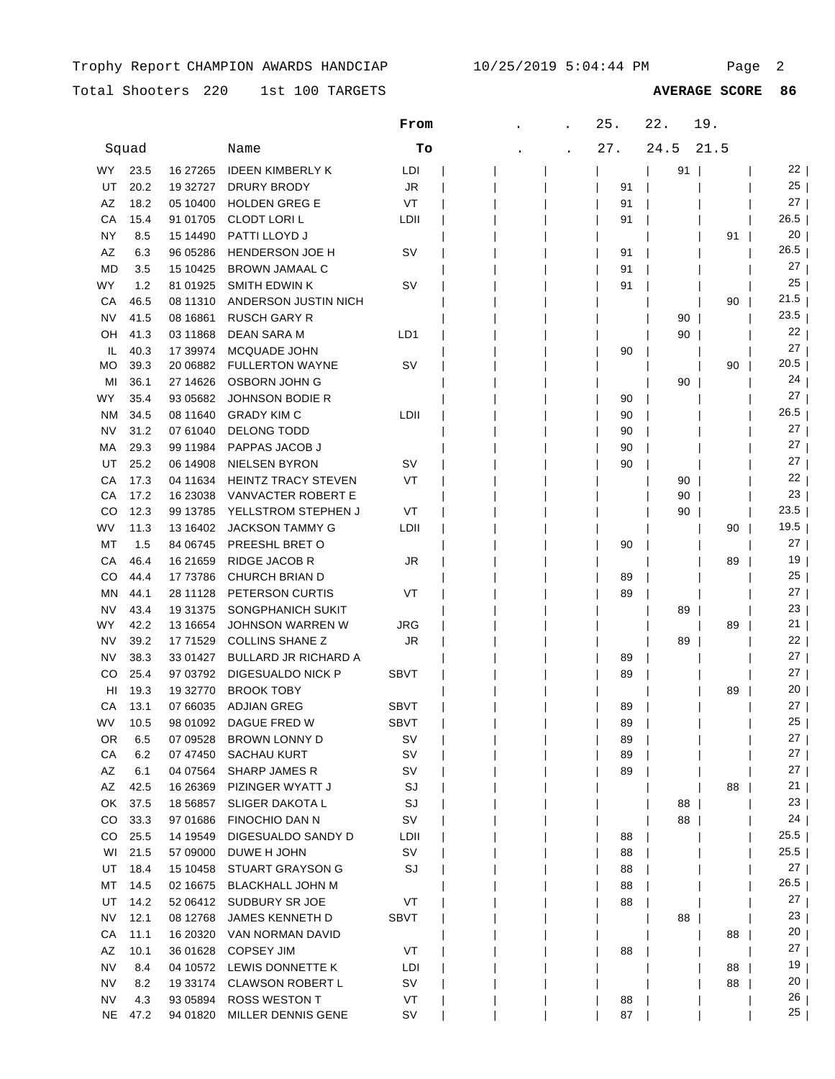Total Shooters 220 1st 100 TARGETS **AVERAGE SCORE 86**

|                 |             |                      |                                            | From            |  | 25.      | 22.  | 19.  |                         |
|-----------------|-------------|----------------------|--------------------------------------------|-----------------|--|----------|------|------|-------------------------|
|                 | Squad       |                      | Name                                       | Tо              |  | 27.      | 24.5 | 21.5 |                         |
| WY              | 23.5        | 16 27 265            | <b>IDEEN KIMBERLY K</b>                    | LDI             |  |          | 91   |      | 22 <sub>1</sub>         |
| UT              | 20.2        | 19 32727             | DRURY BRODY                                | JR              |  | 91       |      |      | 25                      |
| AZ              | 18.2        | 05 10400             | <b>HOLDEN GREG E</b>                       | VT              |  | 91       |      |      | 27                      |
| CА              | 15.4        | 91 01705             | <b>CLODT LORIL</b>                         | LDII            |  | 91       |      |      | 26.5                    |
| NΥ              | 8.5         | 15 14490             | PATTI LLOYD J                              |                 |  |          |      | 91   | 20                      |
| AZ              | 6.3         | 96 05286             | HENDERSON JOE H                            | sv              |  | 91       |      |      | 26.5                    |
| MD              | 3.5         | 15 10425             | <b>BROWN JAMAAL C</b>                      |                 |  | 91       |      |      | 27                      |
| WY              | 1.2         | 81 01925             | <b>SMITH EDWIN K</b>                       | SV              |  | 91       |      |      | 25                      |
| СA              | 46.5        | 08 11310             | ANDERSON JUSTIN NICH                       |                 |  |          |      | 90   | 21.5                    |
| NV              | 41.5        | 08 16861             | <b>RUSCH GARY R</b>                        |                 |  |          | 90   |      | 23.5                    |
| OН              | 41.3        | 03 11868             | DEAN SARA M                                | LD1             |  |          | 90   |      | 22                      |
| IL              | 40.3        | 17 39974             | MCQUADE JOHN                               |                 |  | 90       |      |      | 27                      |
| МO              | 39.3        | 20 06882             | <b>FULLERTON WAYNE</b>                     | sv              |  |          |      | 90   | 20.5                    |
| MI              | 36.1        | 27 14626             | OSBORN JOHN G                              |                 |  |          | 90   |      | 24                      |
| WY              | 35.4        | 93 05682             | <b>JOHNSON BODIE R</b>                     |                 |  | 90       |      |      | 27                      |
| ΝM              | 34.5        | 08 11 640            | <b>GRADY KIM C</b>                         | LDII            |  | 90       |      |      | 26.5                    |
| NV              | 31.2        | 07 61040             | <b>DELONG TODD</b>                         |                 |  | 90       |      |      | 27                      |
| МA              | 29.3        | 99 11984             | PAPPAS JACOB J                             |                 |  | 90       |      |      | 27                      |
| UT              | 25.2        | 06 14908             | <b>NIELSEN BYRON</b>                       | S٧              |  | 90       |      |      | 27                      |
| СA              | 17.3        | 04 11634             | <b>HEINTZ TRACY STEVEN</b>                 | VT              |  |          | 90   |      | 22                      |
| СA              | 17.2        | 16 23038             | VANVACTER ROBERT E                         |                 |  |          | 90   |      | 23                      |
| CO              | 12.3        | 99 13785             | YELLSTROM STEPHEN J                        | VT              |  |          | 90   |      | 23.5                    |
| WV              | 11.3        | 13 16402             | <b>JACKSON TAMMY G</b>                     | LDII            |  |          |      | 90   | 19.5                    |
| МT              | 1.5         | 84 06745             | PREESHL BRET O                             |                 |  | 90       |      |      | 27                      |
| СA              | 46.4        | 16 21 659            | <b>RIDGE JACOB R</b>                       | JR.             |  |          |      | 89   | 19                      |
| CO              | 44.4        | 17 73786             | <b>CHURCH BRIAN D</b>                      |                 |  | 89       |      |      | 25                      |
| ΜN              | 44.1        | 28 11128             | PETERSON CURTIS                            | VT              |  | 89       |      |      | 27                      |
| NV              | 43.4        | 19 31 375            | SONGPHANICH SUKIT                          |                 |  |          | 89   |      | 23                      |
| WY              | 42.2        | 13 16654             | JOHNSON WARREN W                           | JRG             |  |          |      | 89   | 21                      |
| NV              | 39.2        | 17 71529             | <b>COLLINS SHANE Z</b>                     | JR              |  |          | 89   |      | 22                      |
| NV              | 38.3        | 33 01427             | <b>BULLARD JR RICHARD A</b>                |                 |  | 89       |      |      | 27                      |
| CO              | 25.4        | 97 03792             | DIGESUALDO NICK P                          | SBVT            |  | 89       |      |      | 27                      |
| HI              | 19.3        | 19 32770             | <b>BROOK TOBY</b>                          |                 |  |          |      | 89   | 20                      |
| СA              | 13.1        | 07 66035             | <b>ADJIAN GREG</b>                         | SBVT            |  | 89       |      |      | 27                      |
| WV              | 10.5        | 98 01092             | DAGUE FRED W                               | <b>SBVT</b>     |  | 89       |      |      | 25                      |
| OR              | 6.5         | 07 09528             | <b>BROWN LONNY D</b>                       | SV              |  | 89       |      |      | 27                      |
| CA              | 6.2         | 07 47450             | <b>SACHAU KURT</b>                         | sv              |  | 89       |      |      | 27                      |
| AZ              | 6.1         | 04 07564             | SHARP JAMES R                              | sv              |  | 89       |      |      | 27                      |
| AZ              | 42.5        | 16 26 369            | PIZINGER WYATT J                           | SJ              |  |          |      | 88   | 21                      |
| OK              | 37.5        | 18 56857             | SLIGER DAKOTA L                            | SJ              |  |          | 88   |      | 23                      |
| CO              | 33.3        | 97 01686             | FINOCHIO DAN N                             | SV              |  |          | 88   |      | 24                      |
| CO              | 25.5        | 14 19549             | DIGESUALDO SANDY D                         | <b>LDII</b>     |  | 88       |      |      | 25.5                    |
| WI              | 21.5        | 57 09000             | DUWE H JOHN                                | sv              |  | 88       |      |      | 25.5                    |
| UT              | 18.4        | 15 10 458            | <b>STUART GRAYSON G</b>                    | SJ              |  | 88       |      |      | 27 <sub>1</sub><br>26.5 |
| МT              | 14.5        | 02 16675             | <b>BLACKHALL JOHN M</b>                    |                 |  | 88       |      |      | 27 <sub>1</sub>         |
| UT              | 14.2        | 52 06412             | SUDBURY SR JOE                             | VT              |  | 88       |      |      | 23                      |
| NV              | 12.1        | 08 12768             | JAMES KENNETH D                            | SBVT            |  |          | 88   |      | 20                      |
| СA              | 11.1        | 16 20320             | VAN NORMAN DAVID                           |                 |  |          |      | 88   | 27                      |
| AZ              | 10.1        | 36 01628             | <b>COPSEY JIM</b>                          | VT              |  | 88       |      |      | 19                      |
| NV              | 8.4         | 04 10572             | LEWIS DONNETTE K                           | LDI             |  |          |      | 88   | 20                      |
| NV              | 8.2         | 19 33174             | <b>CLAWSON ROBERT L</b>                    | sv              |  |          |      | 88   | 26                      |
| NV<br><b>NE</b> | 4.3<br>47.2 | 93 05894<br>94 01820 | <b>ROSS WESTON T</b><br>MILLER DENNIS GENE | VT<br><b>SV</b> |  | 88<br>87 |      |      | 25                      |
|                 |             |                      |                                            |                 |  |          |      |      |                         |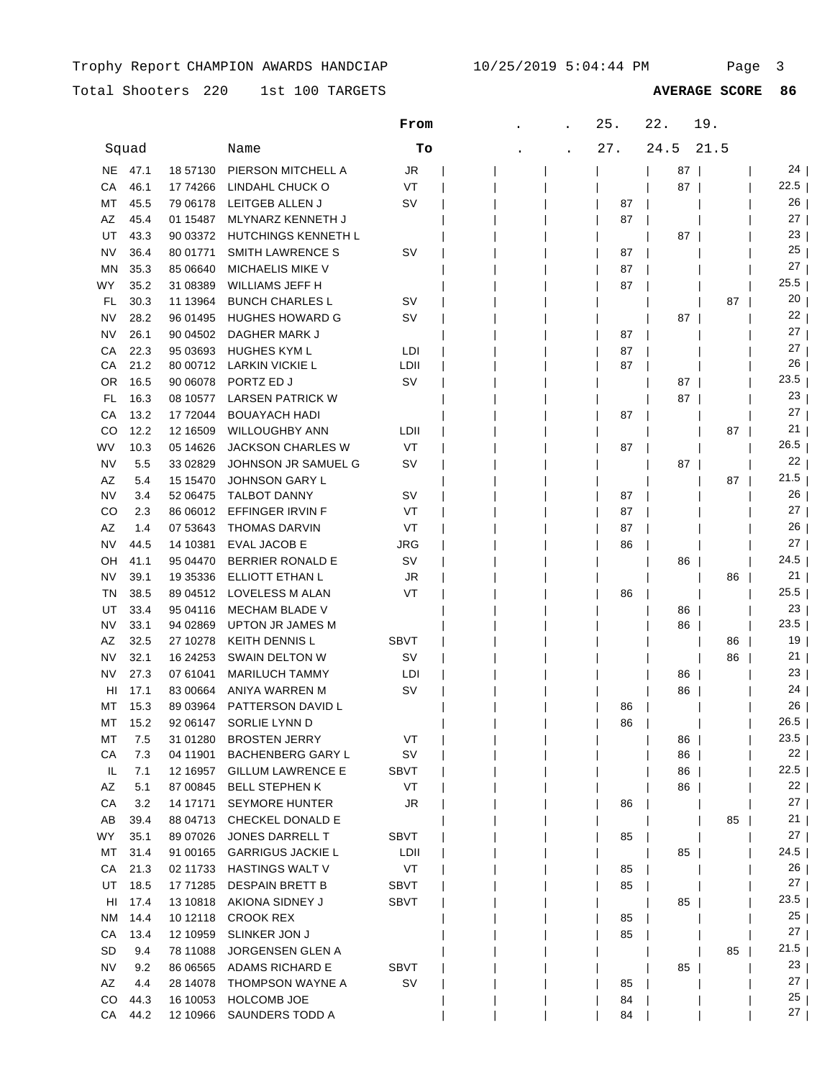Total Shooters 220 1st 100 TARGETS

1st 100 TARGETS **AVERAGE SCORE 86**

|           |       |            |                          | From        |  | 25. | 22.  | 19.  |                       |
|-----------|-------|------------|--------------------------|-------------|--|-----|------|------|-----------------------|
|           | Squad |            | Name                     | To          |  | 27. | 24.5 | 21.5 |                       |
| NE.       | 47.1  | 18 57130   | PIERSON MITCHELL A       | <b>JR</b>   |  |     | 87   |      | 24                    |
| СA        | 46.1  | 17 74266   | LINDAHL CHUCK O          | VT          |  |     | 87   |      | 22.5                  |
| МT        | 45.5  | 79 06178   | LEITGEB ALLEN J          | SV          |  | 87  |      |      | 26                    |
| AΖ        | 45.4  | 01 15487   | MLYNARZ KENNETH J        |             |  | 87  |      |      | 27 <sub>1</sub>       |
| UT        | 43.3  | 90 03372   | HUTCHINGS KENNETH L      |             |  |     | 87   |      | 23                    |
| NV        | 36.4  | 80 01771   | <b>SMITH LAWRENCE S</b>  | SV          |  | 87  |      |      | 25                    |
| MN        | 35.3  | 85 06640   | <b>MICHAELIS MIKE V</b>  |             |  | 87  |      |      | 27                    |
| WY.       | 35.2  | 31 08389   | <b>WILLIAMS JEFF H</b>   |             |  | 87  |      |      | 25.5                  |
| FL        | 30.3  | 11 13964   | <b>BUNCH CHARLES L</b>   | sv          |  |     |      | 87   | 20                    |
| ΝV        | 28.2  | 96 01495   | <b>HUGHES HOWARD G</b>   | sv          |  |     | 87   |      | 22                    |
| NV        | 26.1  | 90 04502   | DAGHER MARK J            |             |  | 87  |      |      | 27                    |
| СA        | 22.3  | 95 03693   | <b>HUGHES KYM L</b>      | LDI         |  | 87  |      |      | 27                    |
| СA        | 21.2  | 80 00712   | LARKIN VICKIE L          | LDII        |  | 87  |      |      | 26                    |
| OR        | 16.5  | 90 06078   | PORTZ ED J               | sv          |  |     | 87   |      | 23.5                  |
| FL        | 16.3  | 08 10577   | <b>LARSEN PATRICK W</b>  |             |  |     | 87   |      | 23                    |
| СA        | 13.2  | 17 72044   | <b>BOUAYACH HADI</b>     |             |  | 87  |      |      | 27                    |
| CO        | 12.2  | 12 16509   | <b>WILLOUGHBY ANN</b>    | LDII        |  |     |      | 87   | 21                    |
| WV        | 10.3  | 05 14626   | <b>JACKSON CHARLES W</b> | VT          |  | 87  |      |      | 26.5                  |
| NV        | 5.5   | 33 02829   | JOHNSON JR SAMUEL G      | sv          |  |     | 87   |      | 22 <sub>1</sub>       |
| AZ        | 5.4   | 15 15 470  | <b>JOHNSON GARY L</b>    |             |  |     |      | 87   | 21.5                  |
| NV        | 3.4   | 52 06475   | <b>TALBOT DANNY</b>      | sv          |  | 87  |      |      | 26                    |
| CO        | 2.3   | 86 06012   | EFFINGER IRVIN F         | VT          |  | 87  |      |      | 27 <sub>1</sub>       |
| AΖ        | 1.4   | 07 53643   | <b>THOMAS DARVIN</b>     | VT          |  | 87  |      |      | 26                    |
| NV        | 44.5  | 14 10381   | <b>EVAL JACOB E</b>      | JRG         |  | 86  |      |      | 27 <sub>1</sub>       |
| OН        | 41.1  | 95 04470   | <b>BERRIER RONALD E</b>  | SV          |  |     | 86   |      | 24.5                  |
| NV        | 39.1  | 19 35 336  | ELLIOTT ETHAN L          | JR          |  |     |      | 86   | 21                    |
| ΤN        | 38.5  | 89 04512   | LOVELESS M ALAN          | VT          |  | 86  |      |      | $25.5$                |
| UT        | 33.4  | 95 04116   | <b>MECHAM BLADE V</b>    |             |  |     | 86   |      | 23                    |
| ΝV        | 33.1  | 94 02869   | UPTON JR JAMES M         |             |  |     | 86   |      | 23.5                  |
| AZ        | 32.5  | 27 10278   | <b>KEITH DENNIS L</b>    | SBVT        |  |     |      | 86   | 19                    |
| ΝV        | 32.1  | 16 24 25 3 | SWAIN DELTON W           | S٧          |  |     |      | 86   | 21                    |
| ΝV        | 27.3  | 07 61041   | <b>MARILUCH TAMMY</b>    | LDI         |  |     | 86   |      | 23                    |
| HI        | 17.1  | 83 00664   | ANIYA WARREN M           | sv          |  |     | 86   |      | 24                    |
| МT        | 15.3  | 89 03964   | PATTERSON DAVID L        |             |  | 86  |      |      | 26                    |
| МT        | 15.2  | 92 06147   | SORLIE LYNN D            |             |  | 86  |      |      | $26.5$                |
| MT        | 7.5   | 31 01280   | <b>BROSTEN JERRY</b>     | VT          |  |     | 86   |      | $23.5$                |
| CA        | 7.3   | 04 11901   | <b>BACHENBERG GARY L</b> | SV          |  |     | 86   |      | 22                    |
| IL        | 7.1   | 12 16957   | <b>GILLUM LAWRENCE E</b> | SBVT        |  |     | 86   |      | 22.5                  |
| AZ        | 5.1   | 87 00845   | <b>BELL STEPHEN K</b>    | VT          |  |     | 86   |      | 22                    |
| CA        | 3.2   | 14 17171   | <b>SEYMORE HUNTER</b>    | JR          |  | 86  |      |      | 27                    |
| AB        | 39.4  | 88 04713   | CHECKEL DONALD E         |             |  |     |      | 85   | 21                    |
| WY        | 35.1  | 89 07026   | JONES DARRELL T          | SBVT        |  | 85  |      |      | $27 \mid$             |
| MT        | 31.4  | 91 00165   | <b>GARRIGUS JACKIE L</b> | LDII        |  |     | 85   |      | 24.5                  |
| CA        | 21.3  | 02 11733   | <b>HASTINGS WALT V</b>   | VT          |  | 85  |      |      | $26$                  |
| UT        | 18.5  | 17 71285   | <b>DESPAIN BRETT B</b>   | SBVT        |  | 85  |      |      | 27                    |
| HI        | 17.4  | 13 10 818  | AKIONA SIDNEY J          | SBVT        |  |     | 85   |      | 23.5                  |
| <b>NM</b> | 14.4  | 10 12118   | <b>CROOK REX</b>         |             |  | 85  |      |      | 25 <sub>1</sub>       |
| CA        | 13.4  | 12 10959   | SLINKER JON J            |             |  | 85  |      |      | 27 <sub>1</sub>       |
| <b>SD</b> | 9.4   | 78 11088   | JORGENSEN GLEN A         |             |  |     |      | 85   | 21.5                  |
| <b>NV</b> | 9.2   | 86 06565   | ADAMS RICHARD E          | <b>SBVT</b> |  |     | 85   |      | 23 <sub>1</sub>       |
| AZ        | 4.4   | 28 14078   | THOMPSON WAYNE A         | sv          |  | 85  |      |      | 27 <sub>1</sub>       |
| CO        | 44.3  | 16 10053   | <b>HOLCOMB JOE</b>       |             |  | 84  |      |      | 25 <sub>1</sub><br>27 |
| CA        | 44.2  | 12 10966   | SAUNDERS TODD A          |             |  | 84  |      |      |                       |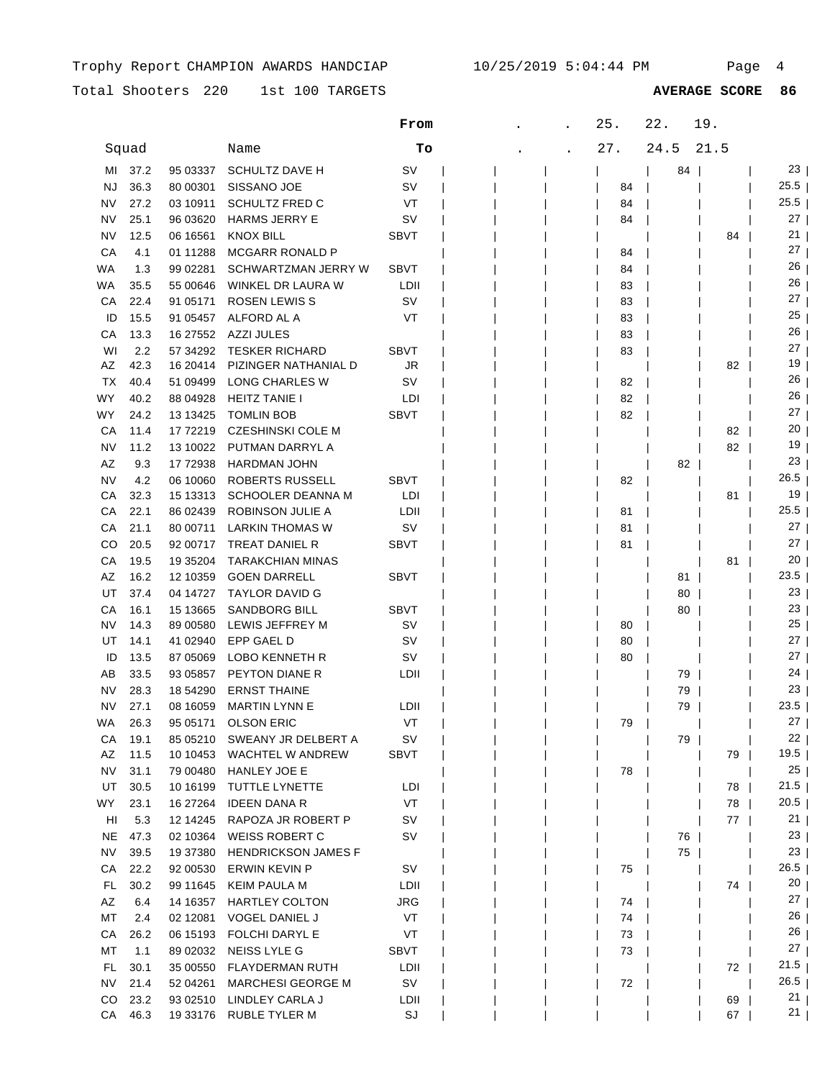Total Shooters 220 1st 100 TARGETS **AVERAGE SCORE 86**

|           |       |            |                            | From        |  | 25. | 22.  | 19.  |                 |
|-----------|-------|------------|----------------------------|-------------|--|-----|------|------|-----------------|
|           | Squad |            | Name                       | Tо          |  | 27. | 24.5 | 21.5 |                 |
| MI        | 37.2  | 95 03337   | <b>SCHULTZ DAVE H</b>      | sv          |  |     | 84   |      | 23              |
| <b>NJ</b> | 36.3  | 80 00301   | SISSANO JOE                | sv          |  | 84  |      |      | $25.5$          |
| NV        | 27.2  | 03 10911   | <b>SCHULTZ FRED C</b>      | VT          |  | 84  |      |      | 25.5            |
| NV        | 25.1  | 96 03620   | <b>HARMS JERRY E</b>       | sv          |  | 84  |      |      | 27              |
| <b>NV</b> | 12.5  | 06 16561   | <b>KNOX BILL</b>           | SBVT        |  |     |      | 84   | 21              |
| CA        | 4.1   | 01 11288   | <b>MCGARR RONALD P</b>     |             |  | 84  |      |      | 27              |
| WA        | 1.3   | 99 02281   | SCHWARTZMAN JERRY W        | <b>SBVT</b> |  | 84  |      |      | 26              |
| WA.       | 35.5  | 55 00646   | WINKEL DR LAURA W          | LDII        |  | 83  |      |      | 26              |
| СA        | 22.4  | 91 05171   | <b>ROSEN LEWIS S</b>       | SV          |  | 83  |      |      | 27              |
| ID        | 15.5  | 91 05457   | ALFORD AL A                | VT          |  | 83  |      |      | 25              |
| CА        | 13.3  | 16 27 552  | <b>AZZI JULES</b>          |             |  | 83  |      |      | 26              |
| WI        | 2.2   | 57 34 29 2 | <b>TESKER RICHARD</b>      | <b>SBVT</b> |  | 83  |      |      | 27              |
| AZ        | 42.3  | 16 20414   | PIZINGER NATHANIAL D       | JR          |  |     |      | 82   | 19              |
| <b>TX</b> | 40.4  | 51 09499   | LONG CHARLES W             | sv          |  | 82  |      |      | 26              |
| WY        | 40.2  | 88 04928   | <b>HEITZ TANIE I</b>       | LDI         |  | 82  |      |      | 26              |
| WY        | 24.2  | 13 13 425  | <b>TOMLIN BOB</b>          | <b>SBVT</b> |  | 82  |      |      | 27              |
| CA        | 11.4  | 17 72219   | <b>CZESHINSKI COLE M</b>   |             |  |     |      | 82   | 20              |
| <b>NV</b> | 11.2  | 13 10022   | PUTMAN DARRYL A            |             |  |     |      | 82   | 19              |
| AZ        | 9.3   | 17 72938   | <b>HARDMAN JOHN</b>        |             |  |     | 82   |      | 23              |
| NV        | 4.2   | 06 10060   | <b>ROBERTS RUSSELL</b>     | <b>SBVT</b> |  | 82  |      |      | 26.5            |
| СA        | 32.3  | 15 13313   | <b>SCHOOLER DEANNA M</b>   | LDI         |  |     |      | 81   | 19              |
| СA        | 22.1  | 86 02439   | ROBINSON JULIE A           | LDII        |  | 81  |      |      | 25.5            |
| СA        | 21.1  | 80 00711   | <b>LARKIN THOMAS W</b>     | sv          |  | 81  |      |      | $27 \mid$       |
| CO        | 20.5  | 92 00717   | <b>TREAT DANIEL R</b>      | <b>SBVT</b> |  | 81  |      |      | 27              |
| СA        | 19.5  | 19 35 204  | <b>TARAKCHIAN MINAS</b>    |             |  |     |      | 81   | 20              |
| AZ        | 16.2  | 12 10359   | <b>GOEN DARRELL</b>        | <b>SBVT</b> |  |     | 81   |      | 23.5            |
| UT        | 37.4  | 04 14727   | <b>TAYLOR DAVID G</b>      |             |  |     | 80   |      | 23              |
| СA        | 16.1  | 15 13665   | <b>SANDBORG BILL</b>       | <b>SBVT</b> |  |     | 80   |      | 23              |
| NV        | 14.3  | 89 00580   | LEWIS JEFFREY M            | sv          |  | 80  |      |      | 25              |
| UT        | 14.1  | 41 02940   | EPP GAEL D                 | sv          |  | 80  |      |      | 27              |
| ID        | 13.5  | 87 05069   | LOBO KENNETH R             | SV          |  | 80  |      |      | 27              |
| AВ        | 33.5  | 93 05857   | PEYTON DIANE R             | LDII        |  |     | 79   |      | $24 \mid$       |
| <b>NV</b> | 28.3  | 18 54290   | <b>ERNST THAINE</b>        |             |  |     | 79   |      | 23              |
| <b>NV</b> | 27.1  | 08 16059   | <b>MARTIN LYNN E</b>       | LDII        |  |     | 79   |      | 23.5            |
| WA        | 26.3  |            | 95 05171 OLSON ERIC        | VT          |  | 79  |      |      | $27 \mid$       |
| СA        | 19.1  | 85 05210   | SWEANY JR DELBERT A        | <b>SV</b>   |  |     | 79   |      | 22 <sub>1</sub> |
| AZ        | 11.5  | 10 10 453  | WACHTEL W ANDREW           | SBVT        |  |     |      | 79   | $19.5$          |
| NV        | 31.1  | 79 00480   | HANLEY JOE E               |             |  | 78  |      |      | 25              |
| UT        | 30.5  | 10 16 199  | TUTTLE LYNETTE             | LDI         |  |     |      | 78   | $21.5$          |
| WY.       | 23.1  | 16 27 264  | <b>IDEEN DANA R</b>        | VT          |  |     |      | 78 I | $20.5$          |
| HI        | 5.3   | 12 14 24 5 | RAPOZA JR ROBERT P         | sv          |  |     |      | 77   | 21              |
| <b>NE</b> | 47.3  | 02 10364   | <b>WEISS ROBERT C</b>      | sv          |  |     | 76   |      | 23              |
| <b>NV</b> | 39.5  | 19 37 380  | <b>HENDRICKSON JAMES F</b> |             |  |     | 75   |      | 23              |
| CA        | 22.2  | 92 00530   | ERWIN KEVIN P              | sv          |  | 75  |      |      | $26.5$          |
| FL.       | 30.2  | 99 11 645  | KEIM PAULA M               | LDII        |  |     |      | 74   | 20 <sub>1</sub> |
| AZ        | 6.4   | 14 16357   | HARTLEY COLTON             | JRG         |  | 74  |      |      | 27 <sub>1</sub> |
| МT        | 2.4   | 02 12081   | <b>VOGEL DANIEL J</b>      | VT          |  | 74  |      |      | 26              |
| CA        | 26.2  | 06 15193   | FOLCHI DARYL E             | VT          |  | 73  |      |      | 26              |
| МT        | 1.1   | 89 02032   | NEISS LYLE G               | SBVT        |  | 73  |      |      | $27 \mid$       |
| FL.       | 30.1  | 35 00550   | <b>FLAYDERMAN RUTH</b>     | LDII        |  |     |      | 72   | 21.5            |
| <b>NV</b> | 21.4  | 52 04261   | <b>MARCHESI GEORGE M</b>   | sv          |  | 72  |      |      | 26.5            |
| CO.       | 23.2  | 93 02510   | LINDLEY CARLA J            | LDII        |  |     |      | 69   | 21              |
| CA        | 46.3  | 19 33176   | <b>RUBLE TYLER M</b>       | SJ          |  |     |      | 67   | 21 <sub>1</sub> |